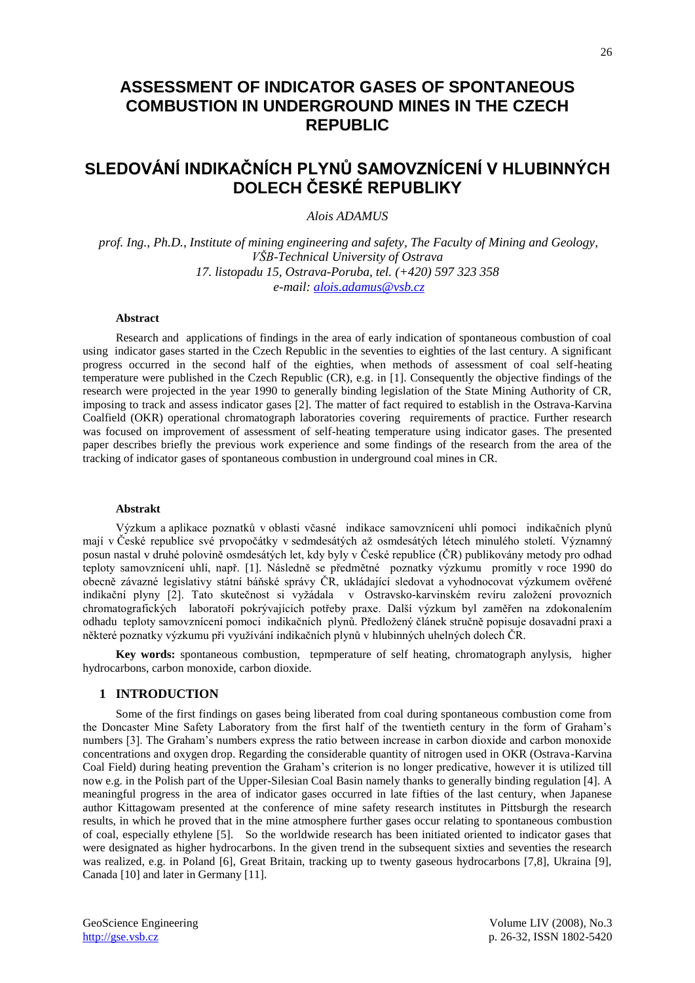## **ASSESSMENT OF INDICATOR GASES OF SPONTANEOUS COMBUSTION IN UNDERGROUND MINES IN THE CZECH REPUBLIC**

# **SLEDOVÁNÍ INDIKAČNÍCH PLYNŮ SAMOVZNÍCENÍ V HLUBINNÝCH DOLECH ČESKÉ REPUBLIKY**

## *Alois ADAMUS*

*prof. Ing., Ph.D., Institute of mining engineering and safety, The Faculty of Mining and Geology, VŠB-Technical University of Ostrava 17. listopadu 15, Ostrava-Poruba, tel. (+420) 597 323 358 e-mail: [alois.adamus@vsb.cz](mailto:alois.adamus@vsb.cz)*

## **Abstract**

Research and applications of findings in the area of early indication of spontaneous combustion of coal using indicator gases started in the Czech Republic in the seventies to eighties of the last century. A significant progress occurred in the second half of the eighties, when methods of assessment of coal self-heating temperature were published in the Czech Republic (CR), e.g. in [1]. Consequently the objective findings of the research were projected in the year 1990 to generally binding legislation of the State Mining Authority of CR, imposing to track and assess indicator gases [2]. The matter of fact required to establish in the Ostrava-Karvina Coalfield (OKR) operational chromatograph laboratories covering requirements of practice. Further research was focused on improvement of assessment of self-heating temperature using indicator gases. The presented paper describes briefly the previous work experience and some findings of the research from the area of the tracking of indicator gases of spontaneous combustion in underground coal mines in CR.

#### **Abstrakt**

Výzkum a aplikace poznatků v oblasti včasné indikace samovznícení uhlí pomoci indikačních plynů mají v České republice své prvopočátky v sedmdesátých až osmdesátých létech minulého století. Významný posun nastal v druhé polovině osmdesátých let, kdy byly v České republice (ČR) publikovány metody pro odhad teploty samovznícení uhlí, např. [1]. Následně se předmětné poznatky výzkumu promítly v roce 1990 do obecně závazné legislativy státní báňské správy ČR, ukládající sledovat a vyhodnocovat výzkumem ověřené indikační plyny [2]. Tato skutečnost si vyžádala v Ostravsko-karvinském revíru založení provozních chromatografických laboratoří pokrývajících potřeby praxe. Další výzkum byl zaměřen na zdokonalením odhadu teploty samovznícení pomoci indikačních plynů. Předložený článek stručně popisuje dosavadní praxi a některé poznatky výzkumu při využívání indikačních plynů v hlubinných uhelných dolech ČR.

**Key words:** spontaneous combustion, tepmperature of self heating, chromatograph anylysis, higher hydrocarbons, carbon monoxide, carbon dioxide.

#### **1 INTRODUCTION**

Some of the first findings on gases being liberated from coal during spontaneous combustion come from the Doncaster Mine Safety Laboratory from the first half of the twentieth century in the form of Graham's numbers [3]. The Graham's numbers express the ratio between increase in carbon dioxide and carbon monoxide concentrations and oxygen drop. Regarding the considerable quantity of nitrogen used in OKR (Ostrava-Karvina Coal Field) during heating prevention the Graham's criterion is no longer predicative, however it is utilized till now e.g. in the Polish part of the Upper-Silesian Coal Basin namely thanks to generally binding regulation [4]. A meaningful progress in the area of indicator gases occurred in late fifties of the last century, when Japanese author Kittagowam presented at the conference of mine safety research institutes in Pittsburgh the research results, in which he proved that in the mine atmosphere further gases occur relating to spontaneous combustion of coal, especially ethylene [5]. So the worldwide research has been initiated oriented to indicator gases that were designated as higher hydrocarbons. In the given trend in the subsequent sixties and seventies the research was realized, e.g. in Poland [6], Great Britain, tracking up to twenty gaseous hydrocarbons [7,8], Ukraina [9], Canada [10] and later in Germany [11].

GeoScience Engineering Volume LIV (2008), No.3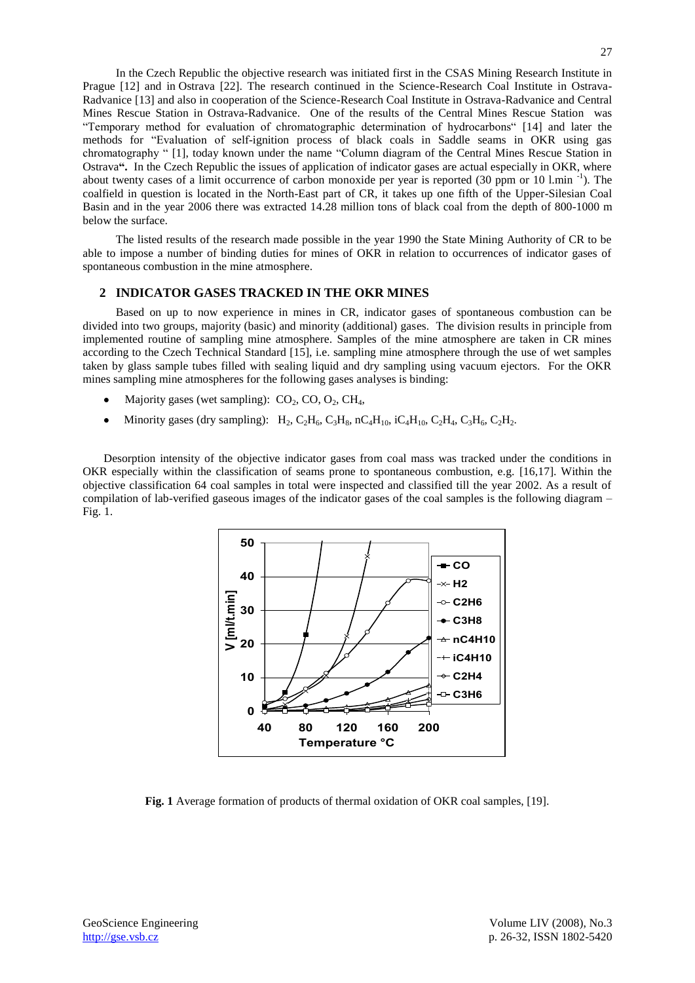In the Czech Republic the objective research was initiated first in the CSAS Mining Research Institute in Prague [12] and in Ostrava [22]. The research continued in the Science-Research Coal Institute in Ostrava-Radvanice [13] and also in cooperation of the Science-Research Coal Institute in Ostrava-Radvanice and Central Mines Rescue Station in Ostrava-Radvanice. One of the results of the Central Mines Rescue Station was "Temporary method for evaluation of chromatographic determination of hydrocarbons" [14] and later the methods for "Evaluation of self-ignition process of black coals in Saddle seams in OKR using gas chromatography " [1], today known under the name "Column diagram of the Central Mines Rescue Station in Ostrava**".** In the Czech Republic the issues of application of indicator gases are actual especially in OKR, where about twenty cases of a limit occurrence of carbon monoxide per year is reported (30 ppm or 10 l.min <sup>-1</sup>). The coalfield in question is located in the North-East part of CR, it takes up one fifth of the Upper-Silesian Coal Basin and in the year 2006 there was extracted 14.28 million tons of black coal from the depth of 800-1000 m below the surface.

The listed results of the research made possible in the year 1990 the State Mining Authority of CR to be able to impose a number of binding duties for mines of OKR in relation to occurrences of indicator gases of spontaneous combustion in the mine atmosphere.

## **2 INDICATOR GASES TRACKED IN THE OKR MINES**

Based on up to now experience in mines in CR, indicator gases of spontaneous combustion can be divided into two groups, majority (basic) and minority (additional) gases. The division results in principle from implemented routine of sampling mine atmosphere. Samples of the mine atmosphere are taken in CR mines according to the Czech Technical Standard [15], i.e. sampling mine atmosphere through the use of wet samples taken by glass sample tubes filled with sealing liquid and dry sampling using vacuum ejectors. For the OKR mines sampling mine atmospheres for the following gases analyses is binding:

- Majority gases (wet sampling):  $CO<sub>2</sub>, CO, O<sub>2</sub>, CH<sub>4</sub>$ ,
- Minority gases (dry sampling):  $H_2$ ,  $C_2H_6$ ,  $C_3H_8$ ,  $nC_4H_{10}$ ,  $iC_4H_{10}$ ,  $C_2H_4$ ,  $C_3H_6$ ,  $C_2H_2$ .

Desorption intensity of the objective indicator gases from coal mass was tracked under the conditions in OKR especially within the classification of seams prone to spontaneous combustion, e.g. [16,17]. Within the objective classification 64 coal samples in total were inspected and classified till the year 2002. As a result of compilation of lab-verified gaseous images of the indicator gases of the coal samples is the following diagram – Fig. 1.



**Fig. 1** Average formation of products of thermal oxidation of OKR coal samples, [19].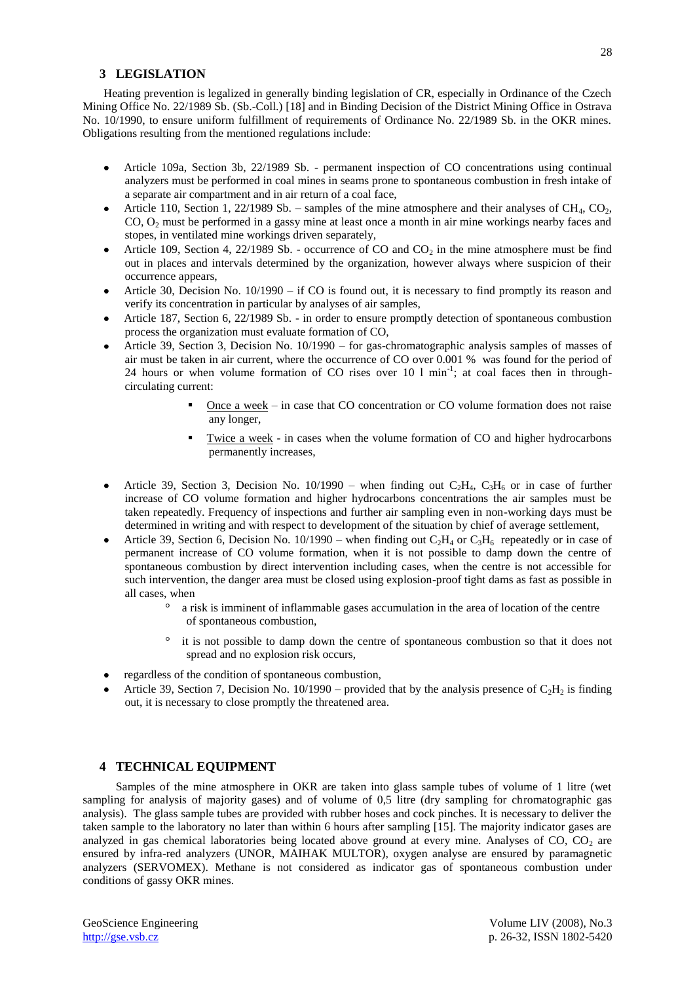### **3 LEGISLATION**

Heating prevention is legalized in generally binding legislation of CR, especially in Ordinance of the Czech Mining Office No. 22/1989 Sb. (Sb.-Coll.) [18] and in Binding Decision of the District Mining Office in Ostrava No. 10/1990, to ensure uniform fulfillment of requirements of Ordinance No. 22/1989 Sb. in the OKR mines. Obligations resulting from the mentioned regulations include:

- Article 109a, Section 3b, 22/1989 Sb. permanent inspection of CO concentrations using continual  $\bullet$ analyzers must be performed in coal mines in seams prone to spontaneous combustion in fresh intake of a separate air compartment and in air return of a coal face,
- Article 110, Section 1, 22/1989 Sb. samples of the mine atmosphere and their analyses of CH<sub>4</sub>, CO<sub>2</sub>, CO, O<sup>2</sup> must be performed in a gassy mine at least once a month in air mine workings nearby faces and stopes, in ventilated mine workings driven separately,
- Article 109, Section 4, 22/1989 Sb. occurrence of CO and  $CO<sub>2</sub>$  in the mine atmosphere must be find out in places and intervals determined by the organization, however always where suspicion of their occurrence appears,
- Article 30, Decision No. 10/1990 if CO is found out, it is necessary to find promptly its reason and verify its concentration in particular by analyses of air samples,
- Article 187, Section 6, 22/1989 Sb. in order to ensure promptly detection of spontaneous combustion process the organization must evaluate formation of CO,
- Article 39, Section 3, Decision No. 10/1990 for gas-chromatographic analysis samples of masses of air must be taken in air current, where the occurrence of CO over 0.001 % was found for the period of 24 hours or when volume formation of CO rises over 10 l min<sup>-1</sup>; at coal faces then in throughcirculating current:
	- Once a week in case that CO concentration or CO volume formation does not raise any longer,
	- Twice a week in cases when the volume formation of CO and higher hydrocarbons permanently increases,
- Article 39, Section 3, Decision No. 10/1990 when finding out  $C_2H_4$ ,  $C_3H_6$  or in case of further increase of CO volume formation and higher hydrocarbons concentrations the air samples must be taken repeatedly. Frequency of inspections and further air sampling even in non-working days must be determined in writing and with respect to development of the situation by chief of average settlement,
- Article 39, Section 6, Decision No. 10/1990 when finding out  $C_2H_4$  or  $C_3H_6$  repeatedly or in case of permanent increase of CO volume formation, when it is not possible to damp down the centre of spontaneous combustion by direct intervention including cases, when the centre is not accessible for such intervention, the danger area must be closed using explosion-proof tight dams as fast as possible in all cases, when
	- a risk is imminent of inflammable gases accumulation in the area of location of the centre of spontaneous combustion,
	- it is not possible to damp down the centre of spontaneous combustion so that it does not spread and no explosion risk occurs,
- regardless of the condition of spontaneous combustion,
- Article 39, Section 7, Decision No. 10/1990 provided that by the analysis presence of  $C_2H_2$  is finding out, it is necessary to close promptly the threatened area.

#### **4 TECHNICAL EQUIPMENT**

Samples of the mine atmosphere in OKR are taken into glass sample tubes of volume of 1 litre (wet sampling for analysis of majority gases) and of volume of 0,5 litre (dry sampling for chromatographic gas analysis). The glass sample tubes are provided with rubber hoses and cock pinches. It is necessary to deliver the taken sample to the laboratory no later than within 6 hours after sampling [15]. The majority indicator gases are analyzed in gas chemical laboratories being located above ground at every mine. Analyses of CO, CO<sub>2</sub> are ensured by infra-red analyzers (UNOR, MAIHAK MULTOR), oxygen analyse are ensured by paramagnetic analyzers (SERVOMEX). Methane is not considered as indicator gas of spontaneous combustion under conditions of gassy OKR mines.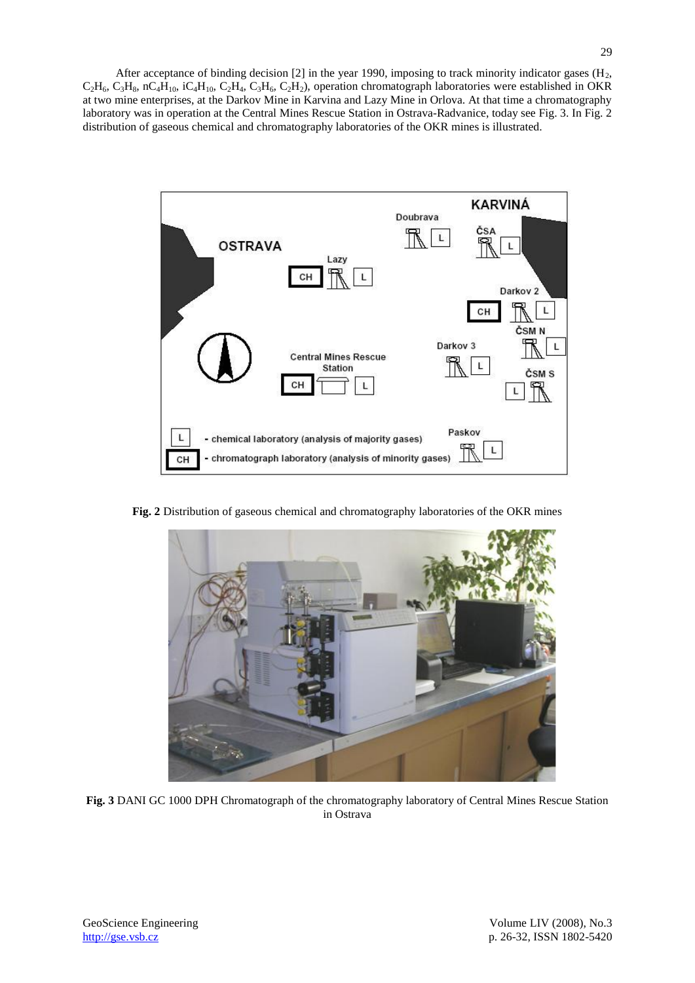After acceptance of binding decision  $[2]$  in the year 1990, imposing to track minority indicator gases  $(H<sub>2</sub>,$  $C_2H_6$ ,  $C_3H_8$ , nC<sub>4</sub>H<sub>10</sub>, iC<sub>4</sub>H<sub>10</sub>, C<sub>2</sub>H<sub>4</sub>, C<sub>3</sub>H<sub>6</sub>, C<sub>2</sub>H<sub>2</sub>), operation chromatograph laboratories were established in OKR at two mine enterprises, at the Darkov Mine in Karvina and Lazy Mine in Orlova. At that time a chromatography laboratory was in operation at the Central Mines Rescue Station in Ostrava-Radvanice, today see Fig. 3. In Fig. 2 distribution of gaseous chemical and chromatography laboratories of the OKR mines is illustrated.



**Fig. 2** Distribution of gaseous chemical and chromatography laboratories of the OKR mines



**Fig. 3** DANI GC 1000 DPH Chromatograph of the chromatography laboratory of Central Mines Rescue Station in Ostrava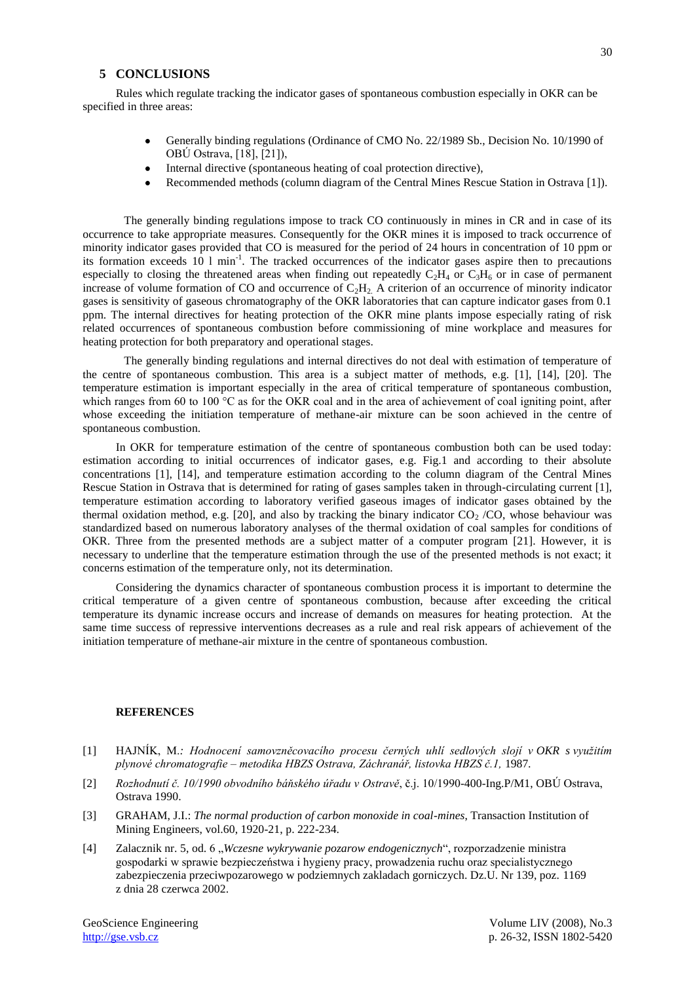## **5 CONCLUSIONS**

Rules which regulate tracking the indicator gases of spontaneous combustion especially in OKR can be specified in three areas:

- Generally binding regulations (Ordinance of CMO No. 22/1989 Sb., Decision No. 10/1990 of OBÚ Ostrava, [18], [21]),
- Internal directive (spontaneous heating of coal protection directive),
- Recommended methods (column diagram of the Central Mines Rescue Station in Ostrava [1]).

The generally binding regulations impose to track CO continuously in mines in CR and in case of its occurrence to take appropriate measures. Consequently for the OKR mines it is imposed to track occurrence of minority indicator gases provided that CO is measured for the period of 24 hours in concentration of 10 ppm or its formation exceeds 10  $1$  min<sup>-1</sup>. The tracked occurrences of the indicator gases aspire then to precautions especially to closing the threatened areas when finding out repeatedly  $C_2H_4$  or  $C_3H_6$  or in case of permanent increase of volume formation of CO and occurrence of  $C_2H_2$ . A criterion of an occurrence of minority indicator gases is sensitivity of gaseous chromatography of the OKR laboratories that can capture indicator gases from 0.1 ppm. The internal directives for heating protection of the OKR mine plants impose especially rating of risk related occurrences of spontaneous combustion before commissioning of mine workplace and measures for heating protection for both preparatory and operational stages.

The generally binding regulations and internal directives do not deal with estimation of temperature of the centre of spontaneous combustion. This area is a subject matter of methods, e.g. [1], [14], [20]. The temperature estimation is important especially in the area of critical temperature of spontaneous combustion, which ranges from 60 to 100 °C as for the OKR coal and in the area of achievement of coal igniting point, after whose exceeding the initiation temperature of methane-air mixture can be soon achieved in the centre of spontaneous combustion.

In OKR for temperature estimation of the centre of spontaneous combustion both can be used today: estimation according to initial occurrences of indicator gases, e.g. Fig.1 and according to their absolute concentrations [1], [14], and temperature estimation according to the column diagram of the Central Mines Rescue Station in Ostrava that is determined for rating of gases samples taken in through-circulating current [1], temperature estimation according to laboratory verified gaseous images of indicator gases obtained by the thermal oxidation method, e.g. [20], and also by tracking the binary indicator  $CO<sub>2</sub> /CO$ , whose behaviour was standardized based on numerous laboratory analyses of the thermal oxidation of coal samples for conditions of OKR. Three from the presented methods are a subject matter of a computer program [21]. However, it is necessary to underline that the temperature estimation through the use of the presented methods is not exact; it concerns estimation of the temperature only, not its determination.

Considering the dynamics character of spontaneous combustion process it is important to determine the critical temperature of a given centre of spontaneous combustion, because after exceeding the critical temperature its dynamic increase occurs and increase of demands on measures for heating protection. At the same time success of repressive interventions decreases as a rule and real risk appears of achievement of the initiation temperature of methane-air mixture in the centre of spontaneous combustion.

## **REFERENCES**

- [1] HAJNÍK, M.*: Hodnocení samovzněcovacího procesu černých uhlí sedlových slojí v OKR s využitím plynové chromatografie – metodika HBZS Ostrava, Záchranář, listovka HBZS č.1,* 1987*.*
- [2] *Rozhodnutí č. 10/1990 obvodního báňského úřadu v Ostravě*, č.j. 10/1990-400-Ing.P/M1, OBÚ Ostrava, Ostrava 1990.
- [3] GRAHAM, J.I.: *The normal production of carbon monoxide in coal-mines*, Transaction Institution of Mining Engineers, vol.60, 1920-21, p. 222-234.
- [4] Zalacznik nr. 5, od. 6 "*Wczesne wykrywanie pozarow endogenicznych*", rozporzadzenie ministra gospodarki w sprawie bezpieczeństwa i hygieny pracy, prowadzenia ruchu oraz specialistycznego zabezpieczenia przeciwpozarowego w podziemnych zakladach gorniczych. Dz.U. Nr 139, poz. 1169 z dnia 28 czerwca 2002.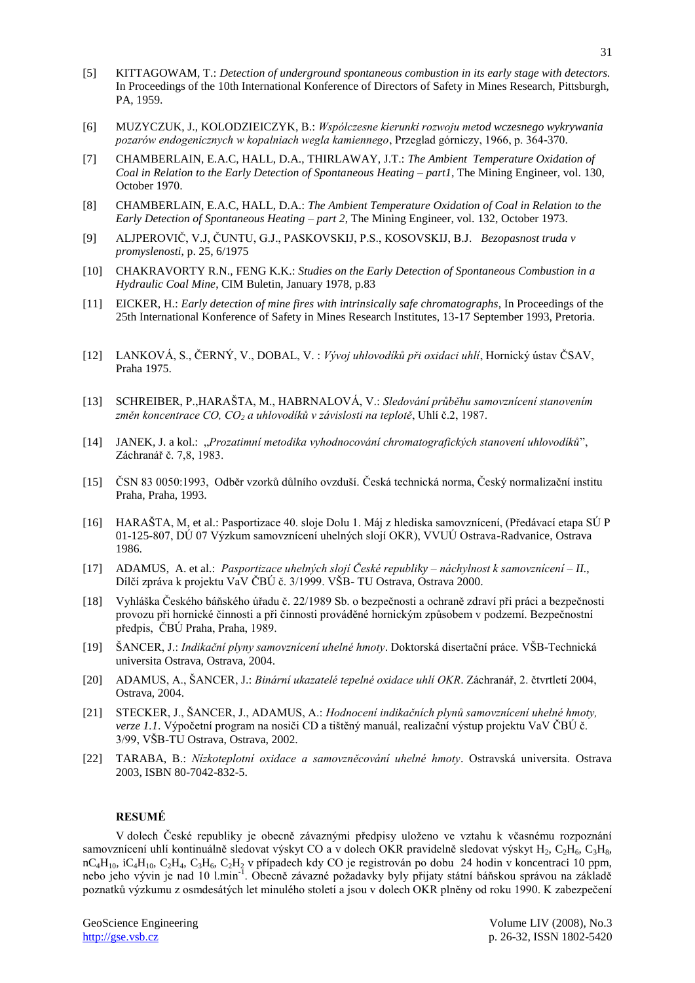- [5] KITTAGOWAM, T.: *Detection of underground spontaneous combustion in its early stage with detectors.* In Proceedings of the 10th International Konference of Directors of Safety in Mines Research, Pittsburgh, PA, 1959.
- [6] MUZYCZUK, J., KOLODZIEICZYK, B.: *Wspólczesne kierunki rozwoju metod wczesnego wykrywania pozarów endogenicznych w kopalniach wegla kamiennego*, Przeglad górniczy, 1966, p. 364-370.
- [7] CHAMBERLAIN, E.A.C, HALL, D.A., THIRLAWAY, J.T.: *The Ambient Temperature Oxidation of Coal in Relation to the Early Detection of Spontaneous Heating – part1*, The Mining Engineer, vol. 130, October 1970.
- [8] CHAMBERLAIN, E.A.C, HALL, D.A.: *The Ambient Temperature Oxidation of Coal in Relation to the Early Detection of Spontaneous Heating – part 2*, The Mining Engineer, vol. 132, October 1973.
- [9] ALJPEROVIČ, V.J, ČUNTU, G.J., PASKOVSKIJ, P.S., KOSOVSKIJ, B.J. *Bezopasnost truda v promyslenosti*, p. 25, 6/1975
- [10] CHAKRAVORTY R.N., FENG K.K.: *Studies on the Early Detection of Spontaneous Combustion in a Hydraulic Coal Mine*, CIM Buletin, January 1978, p.83
- [11] EICKER, H.: *Early detection of mine fires with intrinsically safe chromatographs*, In Proceedings of the 25th International Konference of Safety in Mines Research Institutes, 13-17 September 1993, Pretoria.
- [12] LANKOVÁ, S., ČERNÝ, V., DOBAL, V. : *Vývoj uhlovodíků při oxidaci uhlí*, Hornický ústav ČSAV, Praha 1975.
- [13] SCHREIBER, P.,HARAŠTA, M., HABRNALOVÁ, V.: *Sledování průběhu samovznícení stanovením změn koncentrace CO, CO<sup>2</sup> a uhlovodíků v závislosti na teplotě*, Uhlí č.2, 1987.
- [14] JANEK, J. a kol.: "*Prozatimní metodika vyhodnocování chromatografických stanovení uhlovodíků*", Záchranář č. 7,8, 1983.
- [15] ČSN 83 0050:1993, Odběr vzorků důlního ovzduší. Česká technická norma, Český normalizační institu Praha, Praha, 1993.
- [16] HARAŠTA, M, et al.: Pasportizace 40. sloje Dolu 1. Máj z hlediska samovznícení, (Předávací etapa SÚ P 01-125-807, DÚ 07 Výzkum samovznícení uhelných slojí OKR), VVUÚ Ostrava-Radvanice, Ostrava 1986.
- [17] ADAMUS, A. et al.: *Pasportizace uhelných slojí České republiky – náchylnost k samovznícení – II.*, Dílčí zpráva k projektu VaV ČBÚ č. 3/1999. VŠB- TU Ostrava, Ostrava 2000.
- [18] Vyhláška Českého báňského úřadu č. 22/1989 Sb. o bezpečnosti a ochraně zdraví při práci a bezpečnosti provozu při hornické činnosti a při činnosti prováděné hornickým způsobem v podzemí. Bezpečnostní předpis, ČBÚ Praha, Praha, 1989.
- [19] ŠANCER, J.: *Indikační plyny samovznícení uhelné hmoty*. Doktorská disertační práce. VŠB-Technická universita Ostrava, Ostrava, 2004.
- [20] ADAMUS, A., ŠANCER, J.: *Binární ukazatelé tepelné oxidace uhlí OKR*. Záchranář, 2. čtvrtletí 2004, Ostrava, 2004.
- [21] STECKER, J., ŠANCER, J., ADAMUS, A.: *Hodnocení indikačních plynů samovznícení uhelné hmoty, verze 1.1*. Výpočetní program na nosiči CD a tištěný manuál, realizační výstup projektu VaV ČBÚ č. 3/99, VŠB-TU Ostrava, Ostrava, 2002.
- [22] TARABA, B.: *Nízkoteplotní oxidace a samovzněcování uhelné hmoty*. Ostravská universita. Ostrava 2003, ISBN 80-7042-832-5.

## **RESUMÉ**

V dolech České republiky je obecně závaznými předpisy uloženo ve vztahu k včasnému rozpoznání samovznícení uhlí kontinuálně sledovat výskyt CO a v dolech OKR pravidelně sledovat výskyt H<sub>2</sub>, C<sub>2</sub>H<sub>6</sub>, C<sub>3</sub>H<sub>8</sub>,  $nC_4H_{10}$ ,  $iC_4H_{10}$ ,  $C_2H_4$ ,  $C_3H_6$ ,  $C_2H_2$  v případech kdy CO je registrován po dobu 24 hodin v koncentraci 10 ppm, nebo jeho vývin je nad 10 l.min<sup>-1</sup>. Obecně závazné požadavky byly přijaty státní báňskou správou na základě poznatků výzkumu z osmdesátých let minulého století a jsou v dolech OKR plněny od roku 1990. K zabezpečení